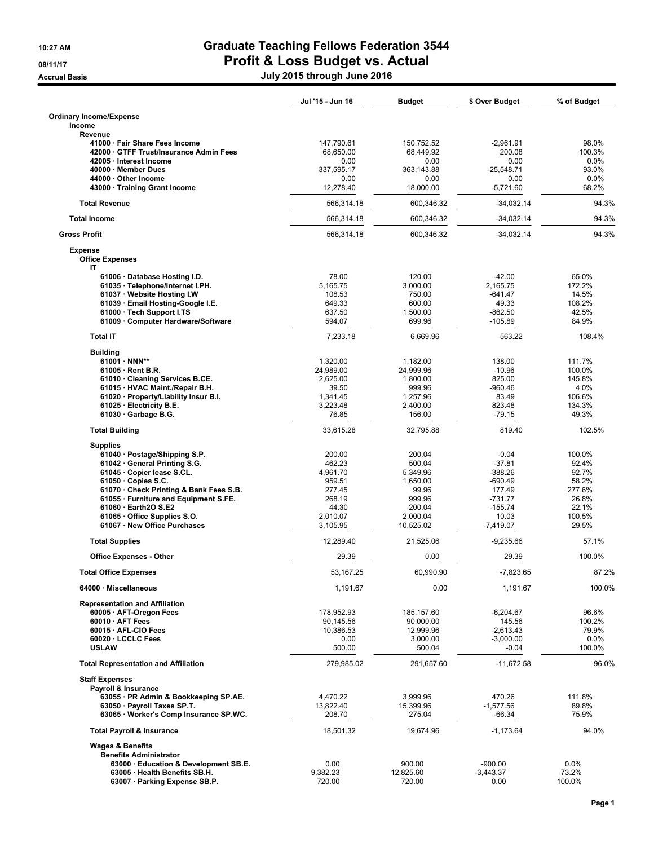## 10:27 AM Graduate Teaching Fellows Federation 3544 **DETTER**<br>08/11/17 Profit & Loss Budget vs. Actual

Accrual Basis July 2015 through June 2016

|                                                                   | Jul '15 - Jun 16     | <b>Budget</b>         | \$ Over Budget         | % of Budget      |
|-------------------------------------------------------------------|----------------------|-----------------------|------------------------|------------------|
| <b>Ordinary Income/Expense</b>                                    |                      |                       |                        |                  |
| Income<br>Revenue                                                 |                      |                       |                        |                  |
| 41000 · Fair Share Fees Income                                    | 147,790.61           | 150,752.52            | $-2,961.91$            | 98.0%            |
| 42000 GTFF Trust/Insurance Admin Fees                             | 68,650.00            | 68,449.92             | 200.08                 | 100.3%           |
| 42005 · Interest Income                                           | 0.00                 | 0.00                  | 0.00                   | 0.0%             |
| 40000 · Member Dues                                               | 337,595.17           | 363,143.88            | $-25,548.71$           | 93.0%            |
| 44000 · Other Income<br>43000 · Training Grant Income             | 0.00<br>12,278.40    | 0.00<br>18,000.00     | 0.00<br>$-5,721.60$    | 0.0%<br>68.2%    |
| <b>Total Revenue</b>                                              | 566,314.18           | 600,346.32            | $-34,032.14$           | 94.3%            |
|                                                                   |                      |                       |                        |                  |
| <b>Total Income</b><br><b>Gross Profit</b>                        | 566.314.18           | 600,346.32            | $-34,032.14$           | 94.3%            |
|                                                                   | 566,314.18           | 600,346.32            | $-34,032.14$           | 94.3%            |
| <b>Expense</b><br><b>Office Expenses</b><br>IT                    |                      |                       |                        |                  |
| 61006 · Database Hosting I.D.                                     | 78.00                | 120.00                | $-42.00$               | 65.0%            |
| 61035 · Telephone/Internet I.PH.                                  | 5,165.75             | 3,000.00              | 2,165.75               | 172.2%           |
| 61037 · Website Hosting I.W                                       | 108.53<br>649.33     | 750.00<br>600.00      | $-641.47$<br>49.33     | 14.5%<br>108.2%  |
| 61039 · Email Hosting-Google I.E.<br>61000 · Tech Support I.TS    | 637.50               | 1,500.00              | $-862.50$              | 42.5%            |
| 61009 · Computer Hardware/Software                                | 594.07               | 699.96                | $-105.89$              | 84.9%            |
| <b>Total IT</b>                                                   | 7,233.18             | 6.669.96              | 563.22                 | 108.4%           |
| <b>Building</b>                                                   |                      |                       |                        |                  |
| 61001 · NNN**                                                     | 1,320.00             | 1,182.00              | 138.00                 | 111.7%           |
| 61005 · Rent B.R.                                                 | 24,989.00            | 24,999.96             | $-10.96$               | 100.0%           |
| 61010 Cleaning Services B.CE.                                     | 2,625.00             | 1,800.00              | 825.00                 | 145.8%           |
| 61015 · HVAC Maint./Repair B.H.                                   | 39.50                | 999.96                | $-960.46$              | 4.0%             |
| 61020 · Property/Liability Insur B.I.<br>61025 · Electricity B.E. | 1,341.45<br>3,223.48 | 1,257.96<br>2,400.00  | 83.49<br>823.48        | 106.6%<br>134.3% |
| $61030 \cdot$ Garbage B.G.                                        | 76.85                | 156.00                | $-79.15$               | 49.3%            |
| <b>Total Building</b>                                             | 33,615.28            | 32,795.88             | 819.40                 | 102.5%           |
| <b>Supplies</b>                                                   |                      |                       |                        |                  |
| 61040 · Postage/Shipping S.P.                                     | 200.00               | 200.04                | $-0.04$                | 100.0%           |
| 61042 General Printing S.G.                                       | 462.23               | 500.04                | $-37.81$               | 92.4%            |
| 61045 · Copier lease S.CL.                                        | 4,961.70             | 5,349.96              | $-388.26$              | 92.7%            |
| $61050 \cdot$ Copies S.C.                                         | 959.51               | 1,650.00              | $-690.49$              | 58.2%            |
| 61070 Check Printing & Bank Fees S.B.                             | 277.45               | 99.96                 | 177.49                 | 277.6%           |
| 61055 · Furniture and Equipment S.FE.                             | 268.19               | 999.96                | $-731.77$              | 26.8%            |
| 61060 · Earth2O S.E2                                              | 44.30                | 200.04                | $-155.74$              | 22.1%            |
| 61065 · Office Supplies S.O.<br>61067 · New Office Purchases      | 2,010.07<br>3,105.95 | 2,000.04<br>10,525.02 | 10.03<br>$-7,419.07$   | 100.5%<br>29.5%  |
| <b>Total Supplies</b>                                             | 12,289.40            | 21,525.06             | $-9,235.66$            | 57.1%            |
| <b>Office Expenses - Other</b>                                    | 29.39                | 0.00                  | 29.39                  | 100.0%           |
| <b>Total Office Expenses</b>                                      | 53, 167.25           | 60,990.90             | $-7,823.65$            | 87.2%            |
| 64000 · Miscellaneous                                             | 1,191.67             | 0.00                  | 1,191.67               | 100.0%           |
| <b>Representation and Affiliation</b>                             |                      |                       |                        |                  |
| 60005 · AFT-Oregon Fees                                           | 178,952.93           | 185, 157.60           | $-6,204.67$            | 96.6%            |
| 60010 · AFT Fees                                                  | 90,145.56            | 90,000.00             | 145.56                 | 100.2%           |
| 60015 · AFL-CIO Fees                                              | 10,386.53            | 12,999.96             | $-2,613.43$            | 79.9%            |
| 60020 · LCCLC Fees<br><b>USLAW</b>                                | 0.00<br>500.00       | 3,000.00<br>500.04    | $-3,000.00$<br>$-0.04$ | 0.0%<br>100.0%   |
| <b>Total Representation and Affiliation</b>                       | 279,985.02           | 291,657.60            | $-11,672.58$           | 96.0%            |
|                                                                   |                      |                       |                        |                  |
| <b>Staff Expenses</b><br>Payroll & Insurance                      |                      |                       |                        |                  |
| 63055 · PR Admin & Bookkeeping SP.AE.                             | 4,470.22             | 3,999.96              | 470.26                 | 111.8%           |
| 63050 · Payroll Taxes SP.T.                                       | 13,822.40            | 15,399.96             | $-1,577.56$            | 89.8%            |
| 63065 · Worker's Comp Insurance SP.WC.                            | 208.70               | 275.04                | $-66.34$               | 75.9%            |
| <b>Total Payroll &amp; Insurance</b>                              | 18,501.32            | 19,674.96             | $-1,173.64$            | 94.0%            |
| <b>Wages &amp; Benefits</b><br><b>Benefits Administrator</b>      |                      |                       |                        |                  |
| 63000 · Education & Development SB.E.                             | 0.00                 | 900.00                | $-900.00$              | 0.0%             |
| 63005 · Health Benefits SB.H.                                     | 9,382.23             | 12,825.60             | -3,443.37              | 73.2%            |
| 63007 · Parking Expense SB.P.                                     | 720.00               | 720.00                | 0.00                   | 100.0%           |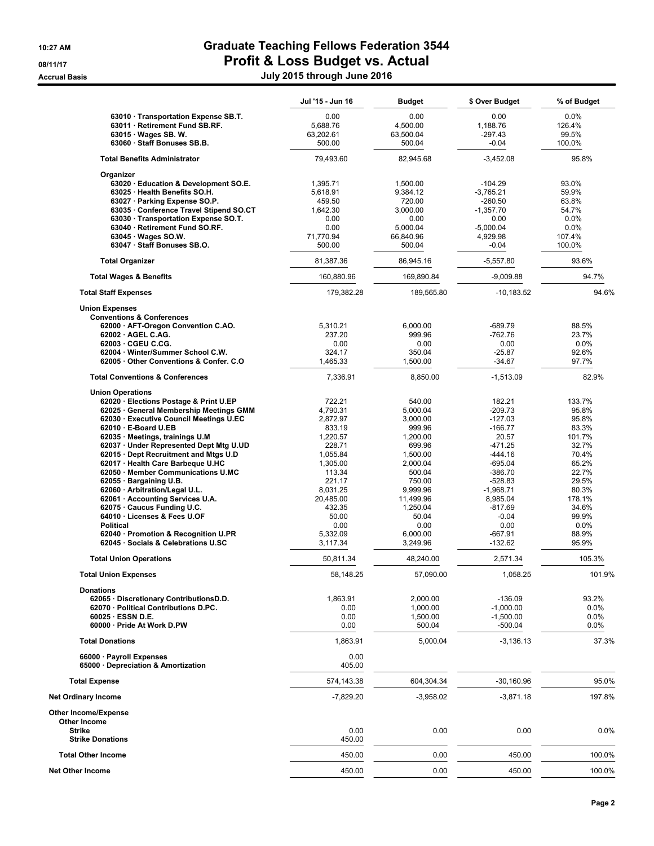## 10:27 AM Graduate Teaching Fellows Federation 3544 **DET THE VILLE ISLES**<br>08/11/17 **Profit & Loss Budget vs. Actual** Accrual Basis **Accrual Basis Accrual Basis July 2015** through June 2016

|                                                                                  | Jul '15 - Jun 16 | <b>Budget</b>        | \$ Over Budget             | % of Budget      |
|----------------------------------------------------------------------------------|------------------|----------------------|----------------------------|------------------|
| 63010 · Transportation Expense SB.T.                                             | 0.00             | 0.00                 | 0.00                       | $0.0\%$          |
| 63011 · Retirement Fund SB.RF.                                                   | 5,688.76         | 4,500.00             | 1,188.76                   | 126.4%           |
| 63015 · Wages SB. W.                                                             | 63,202.61        | 63,500.04            | $-297.43$                  | 99.5%            |
| 63060 · Staff Bonuses SB.B.                                                      | 500.00           | 500.04               | $-0.04$                    | 100.0%           |
| <b>Total Benefits Administrator</b>                                              | 79,493.60        | 82,945.68            | $-3,452.08$                | 95.8%            |
| Organizer                                                                        |                  |                      |                            |                  |
| 63020 · Education & Development SO.E.                                            | 1,395.71         | 1,500.00             | $-104.29$                  | 93.0%            |
| 63025 · Health Benefits SO.H.                                                    | 5,618.91         | 9,384.12             | $-3,765.21$                | 59.9%            |
| 63027 · Parking Expense SO.P.                                                    | 459.50           | 720.00               | $-260.50$                  | 63.8%            |
| 63035 · Conference Travel Stipend SO.CT                                          | 1,642.30         | 3,000.00             | $-1,357.70$                | 54.7%            |
| 63030 · Transportation Expense SO.T.                                             | 0.00             | 0.00                 | 0.00                       | $0.0\%$          |
| 63040 · Retirement Fund SO.RF.                                                   | 0.00             | 5,000.04             | $-5,000.04$                | $0.0\%$          |
| 63045 · Wages SO.W.                                                              | 71,770.94        | 66,840.96            | 4,929.98                   | 107.4%           |
| 63047 · Staff Bonuses SB.O.                                                      | 500.00           | 500.04               | $-0.04$                    | 100.0%           |
| <b>Total Organizer</b>                                                           | 81,387.36        | 86,945.16            | $-5,557.80$                | 93.6%            |
| <b>Total Wages &amp; Benefits</b>                                                | 160,880.96       | 169,890.84           | $-9,009.88$                | 94.7%            |
| <b>Total Staff Expenses</b>                                                      | 179,382.28       | 189,565.80           | $-10, 183.52$              | 94.6%            |
| <b>Union Expenses</b>                                                            |                  |                      |                            |                  |
| <b>Conventions &amp; Conferences</b>                                             |                  |                      |                            |                  |
| 62000 · AFT-Oregon Convention C.AO.                                              | 5,310.21         | 6,000.00             | $-689.79$                  | 88.5%            |
| 62002 · AGEL C.AG.                                                               | 237.20           | 999.96               | $-762.76$                  | 23.7%            |
| 62003 · CGEU C.CG.<br>62004 · Winter/Summer School C.W.                          | 0.00<br>324.17   | 0.00<br>350.04       | 0.00<br>$-25.87$           | $0.0\%$<br>92.6% |
| 62005 · Other Conventions & Confer, C.O.                                         | 1,465.33         | 1,500.00             | $-34.67$                   | 97.7%            |
| <b>Total Conventions &amp; Conferences</b>                                       | 7,336.91         | 8,850.00             | $-1,513.09$                | 82.9%            |
| <b>Union Operations</b>                                                          |                  |                      |                            |                  |
| 62020 · Elections Postage & Print U.EP                                           | 722.21           | 540.00               | 182.21                     | 133.7%           |
| 62025 · General Membership Meetings GMM                                          | 4,790.31         | 5,000.04             | $-209.73$                  | 95.8%            |
| 62030 · Executive Council Meetings U.EC                                          | 2,872.97         | 3,000.00             | $-127.03$                  | 95.8%            |
| 62010 · E-Board U.EB                                                             | 833.19           | 999.96               | $-166.77$                  | 83.3%            |
| 62035 · Meetings, trainings U.M.                                                 | 1,220.57         | 1,200.00             | 20.57                      | 101.7%           |
| 62037 · Under Represented Dept Mtg U.UD                                          | 228.71           | 699.96               | $-471.25$                  | 32.7%            |
| 62015 · Dept Recruitment and Mtgs U.D                                            | 1,055.84         | 1,500.00             | $-444.16$                  | 70.4%            |
| 62017 · Health Care Barbeque U.HC                                                | 1,305.00         | 2,000.04             | $-695.04$                  | 65.2%            |
| 62050 · Member Communications U.MC                                               | 113.34           | 500.04               | -386.70                    | 22.7%            |
| 62055 · Bargaining U.B.                                                          | 221.17           | 750.00               | $-528.83$                  | 29.5%            |
| 62060 · Arbitration/Legal U.L.                                                   | 8,031.25         | 9,999.96             | $-1,968.71$                | 80.3%            |
| 62061 · Accounting Services U.A.                                                 | 20,485.00        | 11,499.96            | 8,985.04                   | 178.1%           |
| 62075 Caucus Funding U.C.                                                        | 432.35           | 1,250.04             | $-817.69$                  | 34.6%            |
| 64010 · Licenses & Fees U.OF                                                     | 50.00            | 50.04                | $-0.04$                    | 99.9%            |
| <b>Political</b>                                                                 | 0.00             | 0.00                 | 0.00                       | $0.0\%$          |
| 62040 · Promotion & Recognition U.PR                                             | 5,332.09         | 6,000.00             | -667.91                    | 88.9%            |
| 62045 · Socials & Celebrations U.SC                                              | 3,117.34         | 3,249.96             | -132.62                    | 95.9%            |
| <b>Total Union Operations</b>                                                    | 50,811.34        | 48,240.00            | 2,571.34                   | 105.3%           |
| <b>Total Union Expenses</b>                                                      | 58,148.25        | 57,090.00            | 1,058.25                   | 101.9%           |
| <b>Donations</b>                                                                 |                  |                      |                            |                  |
| 62065 · Discretionary ContributionsD.D.<br>62070 · Political Contributions D.PC. | 1,863.91         | 2,000.00             | $-136.09$                  | 93.2%            |
| 60025 · ESSN D.E.                                                                | 0.00<br>0.00     | 1,000.00<br>1,500.00 | $-1,000.00$<br>$-1,500.00$ | 0.0%<br>0.0%     |
| 60000 · Pride At Work D.PW                                                       | 0.00             | 500.04               | $-500.04$                  | 0.0%             |
| <b>Total Donations</b>                                                           | 1,863.91         | 5,000.04             | $-3,136.13$                | 37.3%            |
| 66000 · Payroll Expenses                                                         | 0.00             |                      |                            |                  |
| 65000 · Depreciation & Amortization                                              | 405.00           |                      |                            |                  |
| <b>Total Expense</b>                                                             | 574,143.38       | 604,304.34           | $-30,160.96$               | 95.0%            |
| <b>Net Ordinary Income</b>                                                       | $-7,829.20$      | $-3,958.02$          | $-3,871.18$                | 197.8%           |
| Other Income/Expense                                                             |                  |                      |                            |                  |
| Other Income                                                                     |                  |                      |                            |                  |
| Strike                                                                           | 0.00             | 0.00                 | 0.00                       | 0.0%             |
| <b>Strike Donations</b>                                                          | 450.00           |                      |                            |                  |
| <b>Total Other Income</b>                                                        | 450.00           | 0.00                 | 450.00                     | 100.0%           |
| Net Other Income                                                                 | 450.00           | 0.00                 | 450.00                     | 100.0%           |